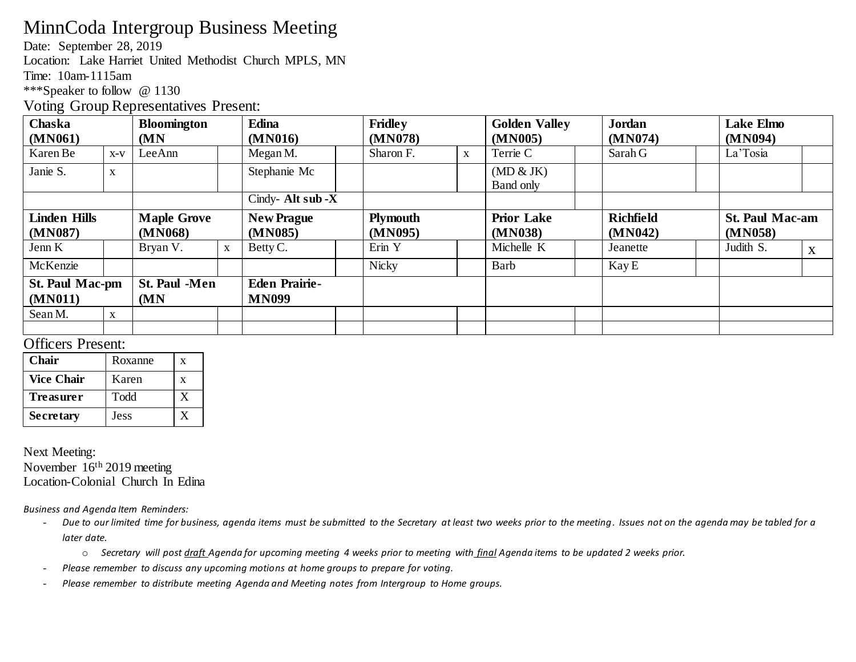## MinnCoda Intergroup Business Meeting

Date: September 28, 2019

Location: Lake Harriet United Methodist Church MPLS, MN

Time: 10am-1115am

\*\*\*Speaker to follow @ 1130

Voting Group Representatives Present:

| Chaska<br>(MN061)                                 |             | <b>Bloomington</b><br>(MN     |              | <b>Edina</b><br>(MN016)              | <b>Fridley</b><br>(MN078)  |              | <b>Golden Valley</b><br>(MN005) | <b>Jordan</b><br>(MN074)    | <b>Lake Elmo</b><br>(MN094)       |
|---------------------------------------------------|-------------|-------------------------------|--------------|--------------------------------------|----------------------------|--------------|---------------------------------|-----------------------------|-----------------------------------|
| Karen Be                                          | $X-V$       | LeeAnn                        |              | Megan M.                             | Sharon F.                  | $\mathbf{X}$ | Terrie C                        | Sarah G                     | La'Tosia                          |
| Janie S.                                          | $\mathbf X$ |                               |              | Stephanie Mc                         |                            |              | (MD & JK)<br>Band only          |                             |                                   |
|                                                   |             |                               |              | Cindy-Alt sub - $X$                  |                            |              |                                 |                             |                                   |
| <b>Linden Hills</b><br>(MN087)                    |             | <b>Maple Grove</b><br>(MN068) |              | <b>New Prague</b><br>(MN085)         | <b>Plymouth</b><br>(MN095) |              | <b>Prior Lake</b><br>(MN038)    | <b>Richfield</b><br>(MN042) | <b>St. Paul Mac-am</b><br>(MN058) |
| Jenn K                                            |             | Bryan V.                      | $\mathbf{X}$ | Betty C.                             | Erin Y                     |              | Michelle K                      | Jeanette                    | Judith S.<br>X                    |
| McKenzie                                          |             |                               |              |                                      | <b>Nicky</b>               |              | Barb                            | Kay E                       |                                   |
| <b>St. Paul Mac-pm</b><br>(MN011)<br>Sean M.<br>X |             | <b>St. Paul -Men</b><br>(MN)  |              | <b>Eden Prairie-</b><br><b>MN099</b> |                            |              |                                 |                             |                                   |
|                                                   |             |                               |              |                                      |                            |              |                                 |                             |                                   |

## Officers Present:

| Chair             | Roxanne | X |
|-------------------|---------|---|
| <b>Vice Chair</b> | Karen   | x |
| Treasurer         | Todd    |   |
| <b>Secretary</b>  | Jess    |   |

Next Meeting: November 16th 2019 meeting Location-Colonial Church In Edina

*Business and Agenda Item Reminders:*

- Due to our limited time for business, agenda items must be submitted to the Secretary at least two weeks prior to the meeting. Issues not on the agenda may be tabled for a *later date.* 
	- o *Secretary will post draft Agenda for upcoming meeting 4 weeks prior to meeting with final Agenda items to be updated 2 weeks prior.*
- *Please remember to discuss any upcoming motions at home groups to prepare for voting.*
- *Please remember to distribute meeting Agenda and Meeting notes from Intergroup to Home groups.*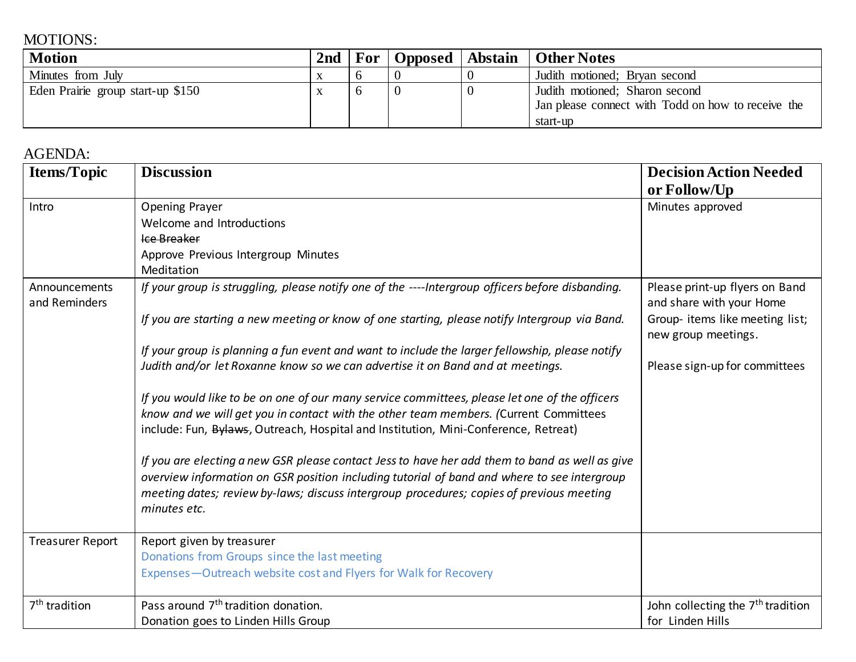## MOTIONS:

| <b>Motion</b>                     | 2 <sub>nd</sub> | For |  | Opposed   Abstain   Other Notes                      |
|-----------------------------------|-----------------|-----|--|------------------------------------------------------|
| Minutes from July                 |                 |     |  | Judith motioned; Bryan second                        |
| Eden Prairie group start-up \$150 |                 |     |  | Judith motioned; Sharon second                       |
|                                   |                 |     |  | I Jan please connect with Todd on how to receive the |
|                                   |                 |     |  | start-up                                             |

## AGENDA:

| <b>Items/Topic</b>             | <b>Discussion</b>                                                                                                                                                                                                                                                                                         | <b>Decision Action Needed</b>                              |
|--------------------------------|-----------------------------------------------------------------------------------------------------------------------------------------------------------------------------------------------------------------------------------------------------------------------------------------------------------|------------------------------------------------------------|
|                                |                                                                                                                                                                                                                                                                                                           | or Follow/Up                                               |
| Intro                          | Opening Prayer                                                                                                                                                                                                                                                                                            | Minutes approved                                           |
|                                | Welcome and Introductions                                                                                                                                                                                                                                                                                 |                                                            |
|                                | Ice Breaker                                                                                                                                                                                                                                                                                               |                                                            |
|                                | Approve Previous Intergroup Minutes                                                                                                                                                                                                                                                                       |                                                            |
|                                | Meditation                                                                                                                                                                                                                                                                                                |                                                            |
| Announcements<br>and Reminders | If your group is struggling, please notify one of the ----Intergroup officers before disbanding.                                                                                                                                                                                                          | Please print-up flyers on Band<br>and share with your Home |
|                                | If you are starting a new meeting or know of one starting, please notify Intergroup via Band.                                                                                                                                                                                                             | Group- items like meeting list;<br>new group meetings.     |
|                                | If your group is planning a fun event and want to include the larger fellowship, please notify                                                                                                                                                                                                            |                                                            |
|                                | Judith and/or let Roxanne know so we can advertise it on Band and at meetings.                                                                                                                                                                                                                            | Please sign-up for committees                              |
|                                | If you would like to be on one of our many service committees, please let one of the officers<br>know and we will get you in contact with the other team members. (Current Committees<br>include: Fun, Bylaws, Outreach, Hospital and Institution, Mini-Conference, Retreat)                              |                                                            |
|                                | If you are electing a new GSR please contact Jess to have her add them to band as well as give<br>overview information on GSR position including tutorial of band and where to see intergroup<br>meeting dates; review by-laws; discuss intergroup procedures; copies of previous meeting<br>minutes etc. |                                                            |
| <b>Treasurer Report</b>        | Report given by treasurer                                                                                                                                                                                                                                                                                 |                                                            |
|                                | Donations from Groups since the last meeting                                                                                                                                                                                                                                                              |                                                            |
|                                | Expenses-Outreach website cost and Flyers for Walk for Recovery                                                                                                                                                                                                                                           |                                                            |
| 7 <sup>th</sup> tradition      | Pass around 7 <sup>th</sup> tradition donation.                                                                                                                                                                                                                                                           | John collecting the 7 <sup>th</sup> tradition              |
|                                | Donation goes to Linden Hills Group                                                                                                                                                                                                                                                                       | for Linden Hills                                           |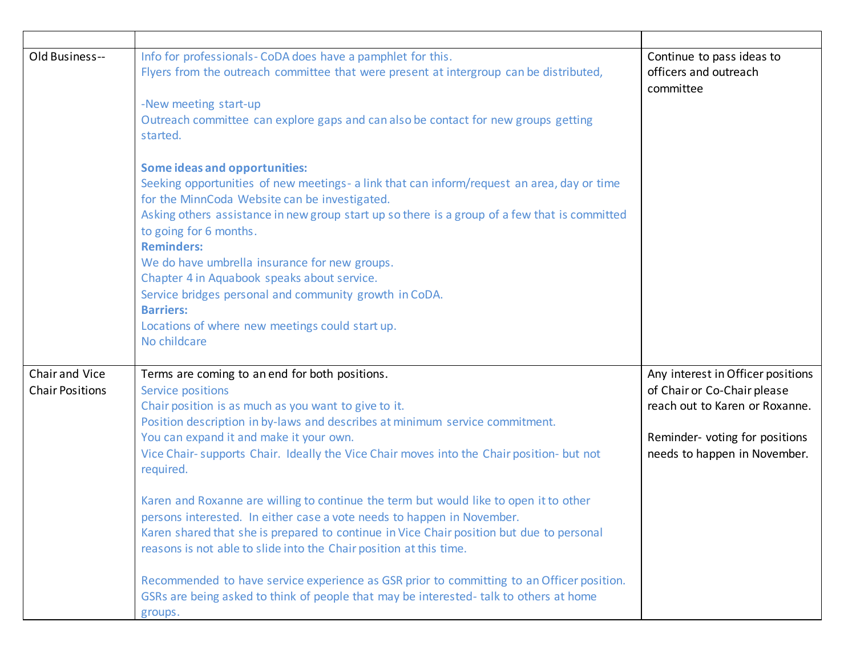| Old Business--                           | Info for professionals- CoDA does have a pamphlet for this.<br>Flyers from the outreach committee that were present at intergroup can be distributed,<br>-New meeting start-up<br>Outreach committee can explore gaps and can also be contact for new groups getting<br>started.<br><b>Some ideas and opportunities:</b><br>Seeking opportunities of new meetings- a link that can inform/request an area, day or time<br>for the MinnCoda Website can be investigated.<br>Asking others assistance in new group start up so there is a group of a few that is committed<br>to going for 6 months.<br><b>Reminders:</b><br>We do have umbrella insurance for new groups.<br>Chapter 4 in Aquabook speaks about service.<br>Service bridges personal and community growth in CoDA.<br><b>Barriers:</b><br>Locations of where new meetings could start up.<br>No childcare                                | Continue to pass ideas to<br>officers and outreach<br>committee                                                                                                      |
|------------------------------------------|---------------------------------------------------------------------------------------------------------------------------------------------------------------------------------------------------------------------------------------------------------------------------------------------------------------------------------------------------------------------------------------------------------------------------------------------------------------------------------------------------------------------------------------------------------------------------------------------------------------------------------------------------------------------------------------------------------------------------------------------------------------------------------------------------------------------------------------------------------------------------------------------------------|----------------------------------------------------------------------------------------------------------------------------------------------------------------------|
| Chair and Vice<br><b>Chair Positions</b> | Terms are coming to an end for both positions.<br>Service positions<br>Chair position is as much as you want to give to it.<br>Position description in by-laws and describes at minimum service commitment.<br>You can expand it and make it your own.<br>Vice Chair- supports Chair. Ideally the Vice Chair moves into the Chair position- but not<br>required.<br>Karen and Roxanne are willing to continue the term but would like to open it to other<br>persons interested. In either case a vote needs to happen in November.<br>Karen shared that she is prepared to continue in Vice Chair position but due to personal<br>reasons is not able to slide into the Chair position at this time.<br>Recommended to have service experience as GSR prior to committing to an Officer position.<br>GSRs are being asked to think of people that may be interested- talk to others at home<br>groups. | Any interest in Officer positions<br>of Chair or Co-Chair please<br>reach out to Karen or Roxanne.<br>Reminder- voting for positions<br>needs to happen in November. |